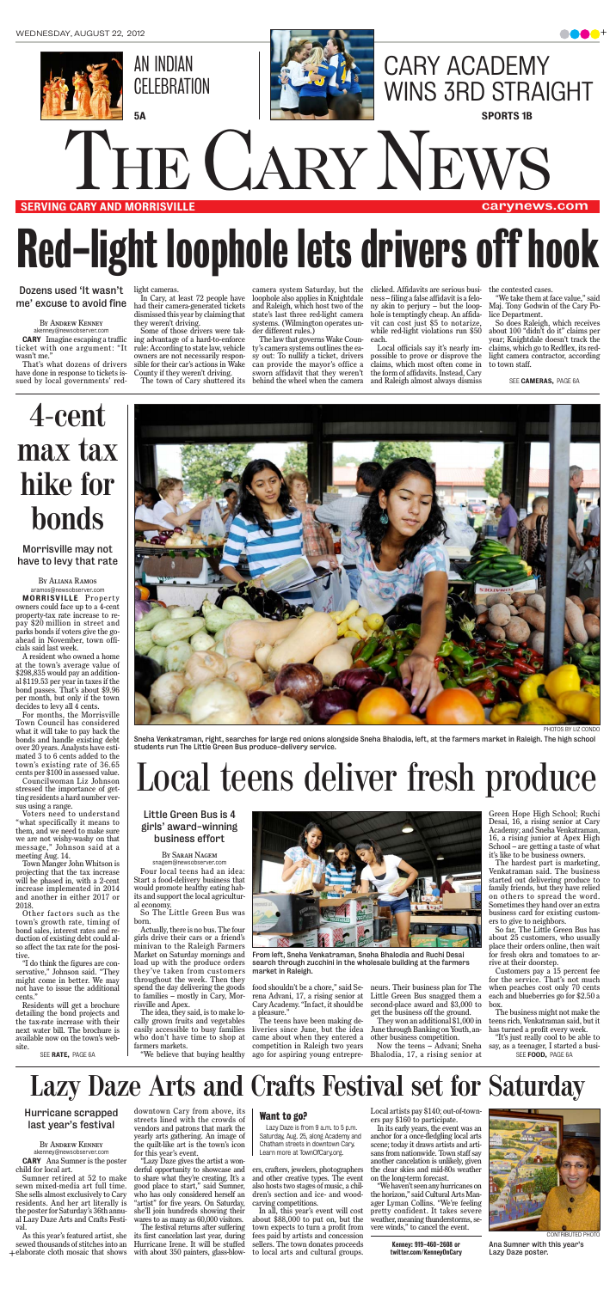

#### SERVING CARY AND MORRISVILLE

carynews.com

ticket with one argument: "It wasn't me.'

By Andrew Kenney akenney@newsobserver.com

That's what dozens of drivers have done in response to tickets issued by local governments' red-

light cameras.

In Cary, at least 72 people have had their camera-generated tickets dismissed this year by claiming that they weren't driving.

CARY Imagine escaping a traffic ing advantage of a hard-to-enforce Some of those drivers were takrule: According to state law, vehicle owners are not necessarily responsible for their car's actions in Wake County if they weren't driving.

camera system Saturday, but the clicked. Affidavits are serious busiloophole also applies in Knightdale and Raleigh, which host two of the state's last three red-light camera systems. (Wilmington operates under different rules.)

The law that governs Wake County's camera systems outlines the easy out: To nullify a ticket, drivers can provide the mayor's office a sworn affidavit that they weren't

The town of Cary shuttered its behind the wheel when the camera and Raleigh almost always dismiss Local officials say it's nearly impossible to prove or disprove the claims, which most often come in the form of affidavits. Instead, Cary

ness – filing a false affidavit is a felony akin to perjury – but the loophole is temptingly cheap. An affidavit can cost just \$5 to notarize, while red-light violations run \$50 each.

the contested cases.

"We take them at face value," said Maj. Tony Godwin of the Cary Police Department.

So does Raleigh, which receives about 100 "didn't do it" claims per year; Knightdale doesn't track the claims, which go to Redflex, its redlight camera contractor, according to town staff.

SEE **CAMERAS.** PAGE 6A

Dozens used 'It wasn't me' excuse to avoid fine

# Red-light loophole lets drivers off hook

#### By Sarah Nagem

snagem@newsobserver.com Four local teens had an idea: Start a food-delivery business that would promote healthy eating habits and support the local agricultural economy.

> "It's just really cool to be able to say, as a teenager, I started a busi-SEE FOOD, PAGE 6A

So The Little Green Bus was born.

Actually, there is no bus. The four girls drive their cars or a friend's minivan to the Raleigh Farmers Market on Saturday mornings and load up with the produce orders they've taken from customers throughout the week. Then they spend the day delivering the goods to families – mostly in Cary, Morrisville and Apex.

A resident who owned a home at the town's average value of \$298,835 would pay an additional \$119.53 per year in taxes if the bond passes. That's about \$9.96 per month, but only if the town decides to levy all 4 cents.

> The idea, they said, is to make locally grown fruits and vegetables easily accessible to busy families who don't have time to shop at farmers markets.

"We believe that buying healthy

rena Advani, 17, a rising senior at Cary Academy. "In fact, it should be a pleasure."

food shouldn't be a chore," said Se-neurs. Their business plan for The Little Green Bus snagged them a second-place award and \$3,000 to get the business off the ground.

The teens have been making deliveries since June, but the idea came about when they entered a competition in Raleigh two years ago for aspiring young entrepre-Bhalodia, 17, a rising senior at

They won an additional \$1,000 in June through Banking on Youth, another business competition.

Now the teens – Advani; Sneha

Green Hope High School; Ruchi Desai, 16, a rising senior at Cary Academy; and Sneha Venkatraman, 16, a rising junior at Apex High School – are getting a taste of what it's like to be business owners.

The hardest part is marketing, Venkatraman said. The business started out delivering produce to family friends, but they have relied on others to spread the word. Sometimes they hand over an extra business card for existing customers to give to neighbors.

So far, The Little Green Bus has about 25 customers, who usually place their orders online, then wait for fresh okra and tomatoes to arrive at their doorstep.

Customers pay a 15 percent fee for the service. That's not much when peaches cost only 70 cents each and blueberries go for \$2.50 a box.

The business might not make the teens rich, Venkatraman said, but it has turned a profit every week.

+ elaborate cloth mosaic that shows with about 350 painters, glass-blow-As this year's featured artist, she sewed thousands of stitches into an

Sneha Venkatraman, right, searches for large red onions alongside Sneha Bhalodia, left, at the farmers market in Raleigh. The high school students run The Little Green Bus produce-delivery service.

> Lazy Daze is from 9 a.m. to 5 p.m. Saturday, Aug. 25, along Academy and Chatham streets in downtown Cary. Learn more at TownOfCary.org.

PHOTOS BY LIZ CONDO

SEE RATE, PAGE 6A

# Local teens deliver fresh produce

#### Little Green Bus is 4 girls' award-winning business effort



From left, Sneha Venkatraman, Sneha Bhalodia and Ruchi Desai search through zucchini in the wholesale building at the farmers market in Raleigh.

By Aliana Ramos aramos@newsobserver.com MORRISVILLE Property owners could face up to a 4-cent property-tax rate increase to repay \$20 million in street and parks bonds if voters give the goahead in November, town officials said last week.

For months, the Morrisville Town Council has considered what it will take to pay back the bonds and handle existing debt over 20 years. Analysts have estimated 3 to 6 cents added to the town's existing rate of 36.65 cents per \$100 in assessed value. Councilwoman Liz Johnson stressed the importance of getting residents a hard number versus using a range. Voters need to understand "what specifically it means to them, and we need to make sure we are not wishy-washy on that message," Johnson said at a meeting Aug. 14. Town Manger John Whitson is projecting that the tax increase will be phased in, with a 2-cent increase implemented in 2014 and another in either 2017 or 2018. Other factors such as the town's growth rate, timing of bond sales, interest rates and reduction of existing debt could also affect the tax rate for the positive. "I do think the figures are conservative," Johnson said. "They might come in better. We may not have to issue the additional cents." Residents will get a brochure detailing the bond projects and the tax-rate increase with their next water bill. The brochure is available now on the town's website.



Morrisville may not have to levy that rate

# **4-cent max tax hike for bonds**

downtown Cary from above, its **streets lined with the crowds of <b>Want to go?**<br>**last year's festival** streets lined with the crowds of **Want to go?** vendors and patrons that mark the yearly arts gathering. An image of the quilt-like art is the town's icon for this year's event.

"Lazy Daze gives the artist a wonderful opportunity to showcase and to share what they're creating. It's a good place to start," said Sumner, who has only considered herself an "artist" for five years. On Saturday, she'll join hundreds showing their wares to as many as 60,000 visitors.

The festival returns after suffering its first cancelation last year, during Hurricane Irene. It will be stuffed

ers, crafters, jewelers, photographers and other creative types. The event also hosts two stages of music, a children's section and ice- and woodcarving competitions.

In all, this year's event will cost about \$88,000 to put on, but the town expects to turn a profit from fees paid by artists and concession sellers. The town donates proceeds to local arts and cultural groups.

Local artists pay \$140; out-of-towners pay \$160 to participate.

In its early years, the event was an anchor for a once-fledgling local arts scene; today it draws artists and artisans from nationwide. Town staff say another cancelation is unlikely, given the clear skies and mid-80s weather on the long-term forecast.

"We haven't seen any hurricanes on the horizon," said Cultural Arts Manager Lyman Collins. "We're feeling pretty confident. It takes severe weather, meaning thunderstorms, severe winds," to cancel the event.

> Kenney: 919-460-2608 or twitter.com/KenneyOnCary

By Andrew Kenney akenney@newsobserver.com CARY Ana Sumner is the poster child for local art.

Sumner retired at 52 to make sewn mixed-media art full time. She sells almost exclusively to Cary residents. And her art literally is the poster for Saturday's 36th annual Lazy Daze Arts and Crafts Festival.

### **Lazy Daze Arts and Crafts Festival set for Saturday**

### Hurricane scrapped



Ana Sumner with this year's Lazy Daze poster.

CARY ACADEMY

# THE CARY NEWS

WINS 3RD STRAIGHT

SPORTS 1B

AN INDIAN

5A

**CELEBRATION**